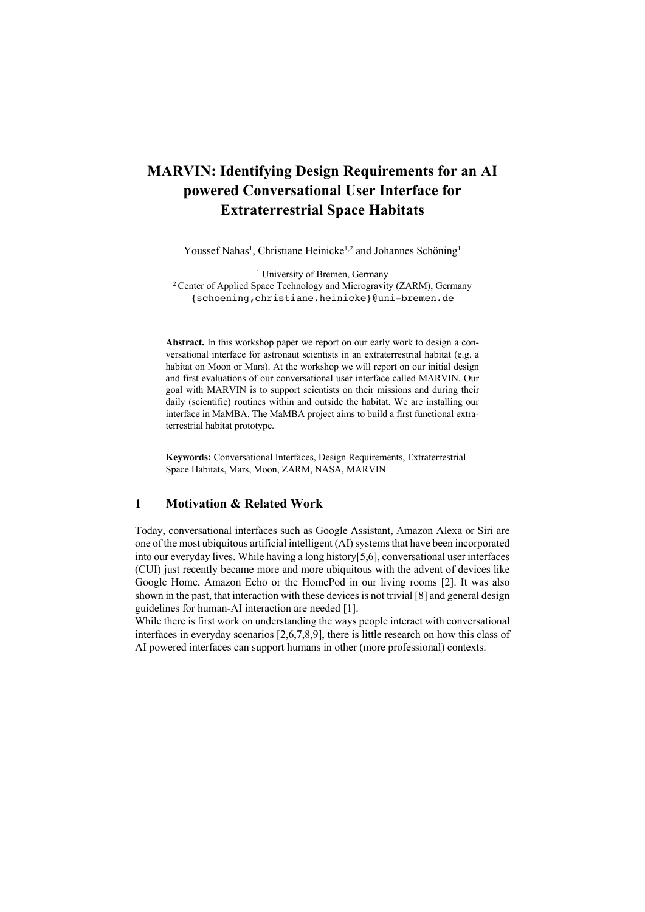## **MARVIN: Identifying Design Requirements for an AI powered Conversational User Interface for Extraterrestrial Space Habitats**

Youssef Nahas<sup>1</sup>, Christiane Heinicke<sup>1,2</sup> and Johannes Schöning<sup>1</sup>

<sup>1</sup> University of Bremen, Germany <sup>2</sup> Center of Applied Space Technology and Microgravity (ZARM), Germany {schoening,christiane.heinicke}@uni-bremen.de

**Abstract.** In this workshop paper we report on our early work to design a conversational interface for astronaut scientists in an extraterrestrial habitat (e.g. a habitat on Moon or Mars). At the workshop we will report on our initial design and first evaluations of our conversational user interface called MARVIN. Our goal with MARVIN is to support scientists on their missions and during their daily (scientific) routines within and outside the habitat. We are installing our interface in MaMBA. The MaMBA project aims to build a first functional extraterrestrial habitat prototype.

**Keywords:** Conversational Interfaces, Design Requirements, Extraterrestrial Space Habitats, Mars, Moon, ZARM, NASA, MARVIN

## **1 Motivation & Related Work**

Today, conversational interfaces such as Google Assistant, Amazon Alexa or Siri are one of the most ubiquitous artificial intelligent (AI) systems that have been incorporated into our everyday lives. While having a long history[5,6], conversational user interfaces (CUI) just recently became more and more ubiquitous with the advent of devices like Google Home, Amazon Echo or the HomePod in our living rooms [2]. It was also shown in the past, that interaction with these devices is not trivial [8] and general design guidelines for human-AI interaction are needed [1].

While there is first work on understanding the ways people interact with conversational interfaces in everyday scenarios [2,6,7,8,9], there is little research on how this class of AI powered interfaces can support humans in other (more professional) contexts.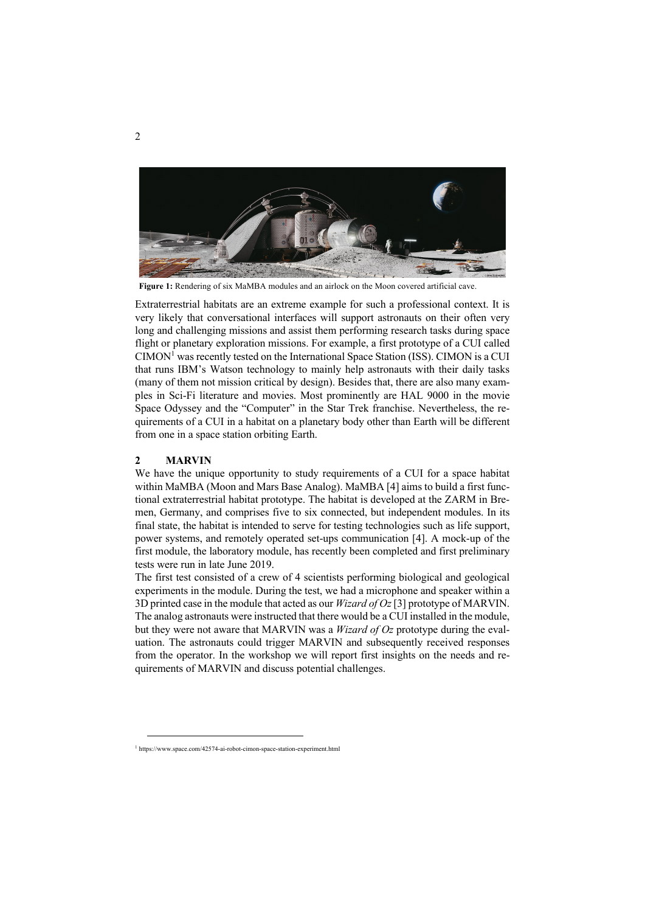

**Figure 1:** Rendering of six MaMBA modules and an airlock on the Moon covered artificial cave.

Extraterrestrial habitats are an extreme example for such a professional context. It is very likely that conversational interfaces will support astronauts on their often very long and challenging missions and assist them performing research tasks during space flight or planetary exploration missions. For example, a first prototype of a CUI called  $CIMON<sup>1</sup>$  was recently tested on the International Space Station (ISS). CIMON is a CUI that runs IBM's Watson technology to mainly help astronauts with their daily tasks (many of them not mission critical by design). Besides that, there are also many examples in Sci-Fi literature and movies. Most prominently are HAL 9000 in the movie Space Odyssey and the "Computer" in the Star Trek franchise. Nevertheless, the requirements of a CUI in a habitat on a planetary body other than Earth will be different from one in a space station orbiting Earth.

## **2 MARVIN**

We have the unique opportunity to study requirements of a CUI for a space habitat within MaMBA (Moon and Mars Base Analog). MaMBA [4] aims to build a first functional extraterrestrial habitat prototype. The habitat is developed at the ZARM in Bremen, Germany, and comprises five to six connected, but independent modules. In its final state, the habitat is intended to serve for testing technologies such as life support, power systems, and remotely operated set-ups communication [4]. A mock-up of the first module, the laboratory module, has recently been completed and first preliminary tests were run in late June 2019.

The first test consisted of a crew of 4 scientists performing biological and geological experiments in the module. During the test, we had a microphone and speaker within a 3D printed case in the module that acted as our *Wizard of Oz*[3] prototype of MARVIN. The analog astronauts were instructed that there would be a CUI installed in the module, but they were not aware that MARVIN was a *Wizard of Oz* prototype during the evaluation. The astronauts could trigger MARVIN and subsequently received responses from the operator. In the workshop we will report first insights on the needs and requirements of MARVIN and discuss potential challenges.

<sup>&</sup>lt;sup>1</sup> https://www.space.com/42574-ai-robot-cimon-space-station-experiment.html